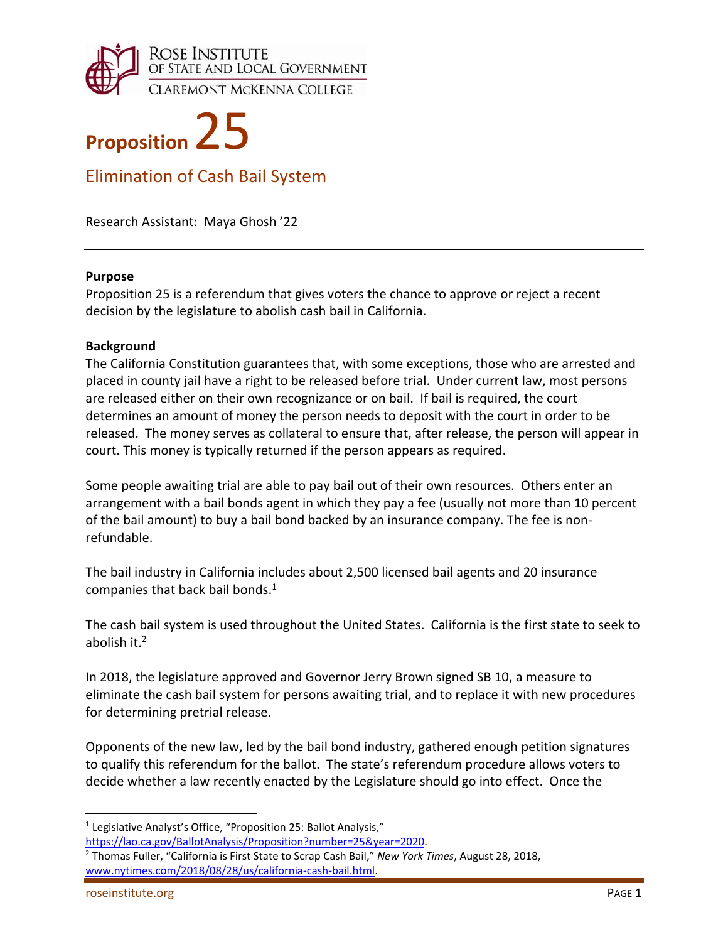



Elimination of Cash Bail System

Research Assistant: Maya Ghosh '22

#### **Purpose**

Proposition 25 is a referendum that gives voters the chance to approve or reject a recent decision by the legislature to abolish cash bail in California.

#### **Background**

The California Constitution guarantees that, with some exceptions, those who are arrested and placed in county jail have a right to be released before trial. Under current law, most persons are released either on their own recognizance or on bail. If bail is required, the court determines an amount of money the person needs to deposit with the court in order to be released. The money serves as collateral to ensure that, after release, the person will appear in court. This money is typically returned if the person appears as required.

Some people awaiting trial are able to pay bail out of their own resources. Others enter an arrangement with a bail bonds agent in which they pay a fee (usually not more than 10 percent of the bail amount) to buy a bail bond backed by an insurance company. The fee is non‐ refundable.

The bail industry in California includes about 2,500 licensed bail agents and 20 insurance companies that back bail bonds.<sup>1</sup>

The cash bail system is used throughout the United States. California is the first state to seek to abolish it.2

In 2018, the legislature approved and Governor Jerry Brown signed SB 10, a measure to eliminate the cash bail system for persons awaiting trial, and to replace it with new procedures for determining pretrial release.

Opponents of the new law, led by the bail bond industry, gathered enough petition signatures to qualify this referendum for the ballot. The state's referendum procedure allows voters to decide whether a law recently enacted by the Legislature should go into effect. Once the

<sup>&</sup>lt;sup>1</sup> Legislative Analyst's Office, "Proposition 25: Ballot Analysis,"

https://lao.ca.gov/BallotAnalysis/Proposition?number=25&year=2020.

<sup>2</sup> Thomas Fuller, "California is First State to Scrap Cash Bail," *New York Times*, August 28, 2018, www.nytimes.com/2018/08/28/us/california‐cash‐bail.html.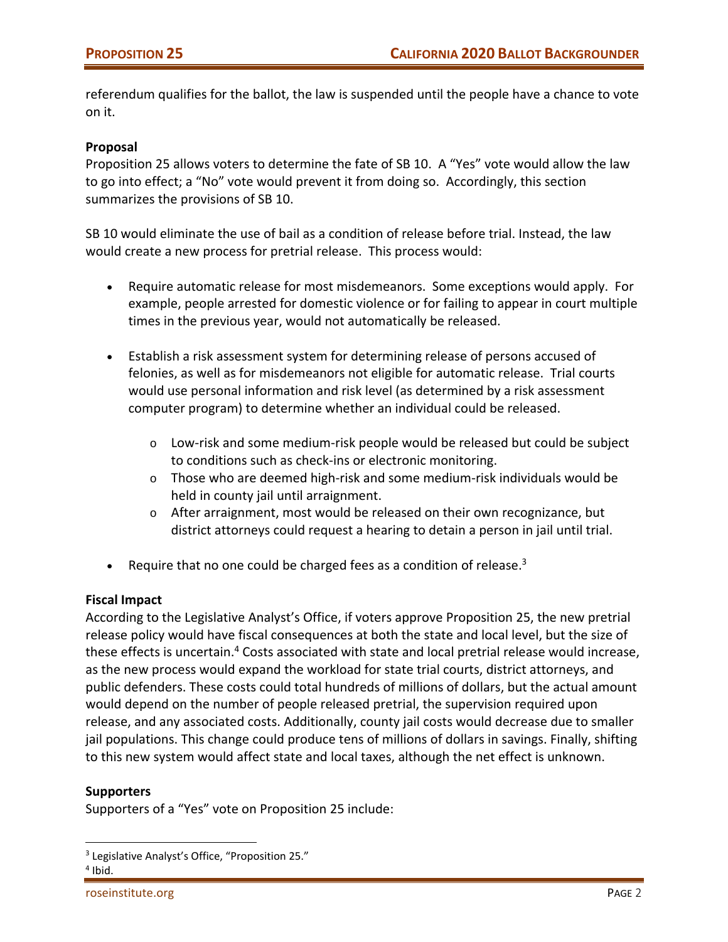referendum qualifies for the ballot, the law is suspended until the people have a chance to vote on it.

## **Proposal**

Proposition 25 allows voters to determine the fate of SB 10. A "Yes" vote would allow the law to go into effect; a "No" vote would prevent it from doing so. Accordingly, this section summarizes the provisions of SB 10.

SB 10 would eliminate the use of bail as a condition of release before trial. Instead, the law would create a new process for pretrial release. This process would:

- Require automatic release for most misdemeanors. Some exceptions would apply. For example, people arrested for domestic violence or for failing to appear in court multiple times in the previous year, would not automatically be released.
- Establish a risk assessment system for determining release of persons accused of felonies, as well as for misdemeanors not eligible for automatic release. Trial courts would use personal information and risk level (as determined by a risk assessment computer program) to determine whether an individual could be released.
	- o Low‐risk and some medium‐risk people would be released but could be subject to conditions such as check‐ins or electronic monitoring.
	- $\circ$  Those who are deemed high-risk and some medium-risk individuals would be held in county jail until arraignment.
	- o After arraignment, most would be released on their own recognizance, but district attorneys could request a hearing to detain a person in jail until trial.
- Exequire that no one could be charged fees as a condition of release.<sup>3</sup>

## **Fiscal Impact**

According to the Legislative Analyst's Office, if voters approve Proposition 25, the new pretrial release policy would have fiscal consequences at both the state and local level, but the size of these effects is uncertain.<sup>4</sup> Costs associated with state and local pretrial release would increase, as the new process would expand the workload for state trial courts, district attorneys, and public defenders. These costs could total hundreds of millions of dollars, but the actual amount would depend on the number of people released pretrial, the supervision required upon release, and any associated costs. Additionally, county jail costs would decrease due to smaller jail populations. This change could produce tens of millions of dollars in savings. Finally, shifting to this new system would affect state and local taxes, although the net effect is unknown.

#### **Supporters**

Supporters of a "Yes" vote on Proposition 25 include:

<sup>&</sup>lt;sup>3</sup> Legislative Analyst's Office, "Proposition 25."

 $4$  Ibid.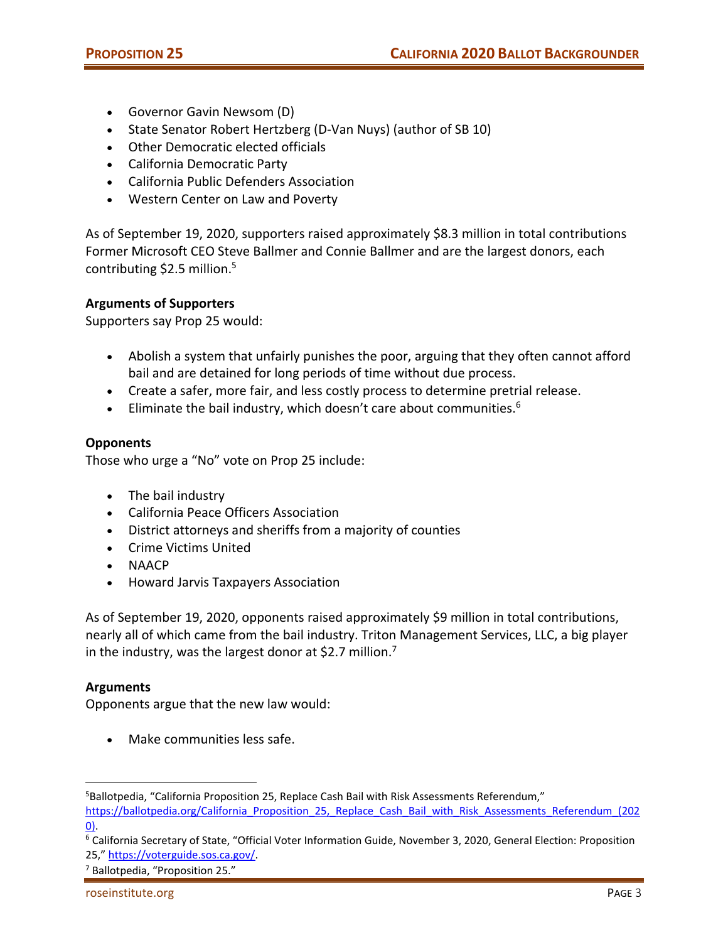- Governor Gavin Newsom (D)
- State Senator Robert Hertzberg (D-Van Nuys) (author of SB 10)
- Other Democratic elected officials
- California Democratic Party
- California Public Defenders Association
- Western Center on Law and Poverty

As of September 19, 2020, supporters raised approximately \$8.3 million in total contributions Former Microsoft CEO Steve Ballmer and Connie Ballmer and are the largest donors, each contributing \$2.5 million.<sup>5</sup>

# **Arguments of Supporters**

Supporters say Prop 25 would:

- Abolish a system that unfairly punishes the poor, arguing that they often cannot afford bail and are detained for long periods of time without due process.
- Create a safer, more fair, and less costly process to determine pretrial release.
- Eliminate the bail industry, which doesn't care about communities.<sup>6</sup>

# **Opponents**

Those who urge a "No" vote on Prop 25 include:

- The bail industry
- California Peace Officers Association
- District attorneys and sheriffs from a majority of counties
- Crime Victims United
- NAACP
- Howard Jarvis Taxpayers Association

As of September 19, 2020, opponents raised approximately \$9 million in total contributions, nearly all of which came from the bail industry. Triton Management Services, LLC, a big player in the industry, was the largest donor at \$2.7 million.<sup>7</sup>

## **Arguments**

Opponents argue that the new law would:

Make communities less safe.

<sup>7</sup> Ballotpedia, "Proposition 25."

 5 Ballotpedia, "California Proposition 25, Replace Cash Bail with Risk Assessments Referendum,"

https://ballotpedia.org/California\_Proposition\_25,\_Replace\_Cash\_Bail\_with\_Risk\_Assessments\_Referendum\_(202 0).

<sup>6</sup> California Secretary of State, "Official Voter Information Guide, November 3, 2020, General Election: Proposition 25," https://voterguide.sos.ca.gov/.